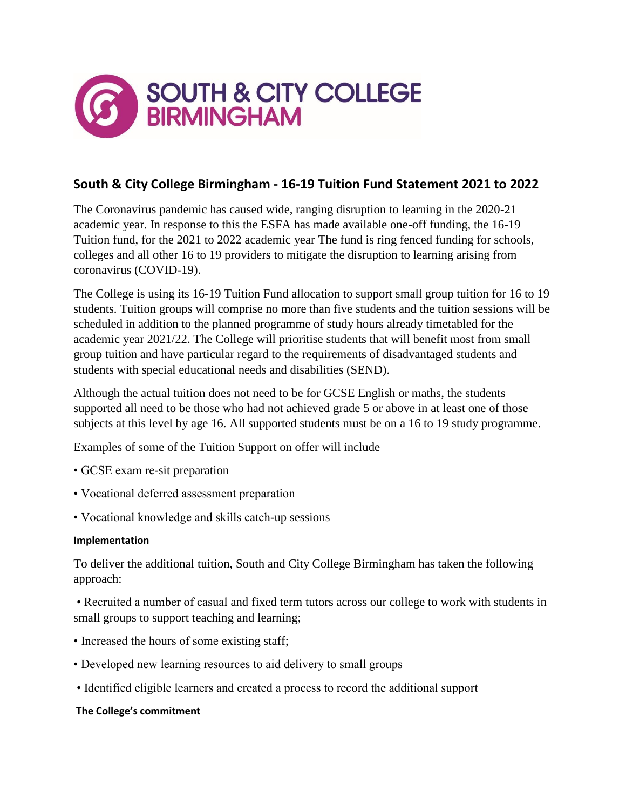

## **South & City College Birmingham - 16-19 Tuition Fund Statement 2021 to 2022**

The Coronavirus pandemic has caused wide, ranging disruption to learning in the 2020-21 academic year. In response to this the ESFA has made available one-off funding, the 16-19 Tuition fund, for the 2021 to 2022 academic year The fund is ring fenced funding for schools, colleges and all other 16 to 19 providers to mitigate the disruption to learning arising from coronavirus (COVID-19).

The College is using its 16-19 Tuition Fund allocation to support small group tuition for 16 to 19 students. Tuition groups will comprise no more than five students and the tuition sessions will be scheduled in addition to the planned programme of study hours already timetabled for the academic year 2021/22. The College will prioritise students that will benefit most from small group tuition and have particular regard to the requirements of disadvantaged students and students with special educational needs and disabilities (SEND).

Although the actual tuition does not need to be for GCSE English or maths, the students supported all need to be those who had not achieved grade 5 or above in at least one of those subjects at this level by age 16. All supported students must be on a 16 to 19 study programme.

Examples of some of the Tuition Support on offer will include

- GCSE exam re-sit preparation
- Vocational deferred assessment preparation
- Vocational knowledge and skills catch-up sessions

## **Implementation**

To deliver the additional tuition, South and City College Birmingham has taken the following approach:

• Recruited a number of casual and fixed term tutors across our college to work with students in small groups to support teaching and learning;

- Increased the hours of some existing staff;
- Developed new learning resources to aid delivery to small groups
- Identified eligible learners and created a process to record the additional support

## **The College's commitment**